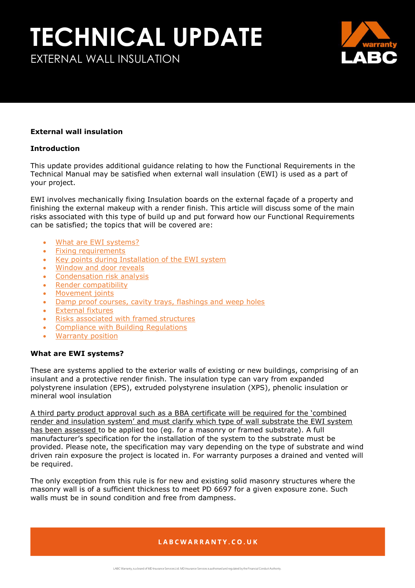EXTERNAL WALL INSULATION



#### **External wall insulation**

#### **Introduction**

This update provides additional guidance relating to how the Functional Requirements in the Technical Manual may be satisfied when external wall insulation (EWI) is used as a part of your project.

<span id="page-0-1"></span>EWI involves mechanically fixing Insulation boards on the external façade of a property and finishing the external makeup with a render finish. This article will discuss some of the main risks associated with this type of build up and put forward how our Functional Requirements can be satisfied; the topics that will be covered are:

- [What are EWI systems?](#page-0-0)
- [Fixing requirements](#page-1-0)
- [Key points during Installation of the EWI system](#page-2-0)
- [Window and door reveals](#page-2-1)
- [Condensation risk analysis](#page-3-0)
- [Render compatibility](#page-4-0)
- [Movement joints](#page-4-1)
- [Damp proof courses, cavity trays, flashings and weep holes](#page-4-2)
- **[External fixtures](#page-4-3)**
- [Risks associated with framed structures](#page-5-0)
- [Compliance with Building Regulations](#page-5-1)
- [Warranty position](#page-6-0)

#### <span id="page-0-0"></span>**What are EWI systems?**

These are systems applied to the exterior walls of existing or new buildings, comprising of an insulant and a protective render finish. The insulation type can vary from expanded polystyrene insulation (EPS), extruded polystyrene insulation (XPS), phenolic insulation or mineral wool insulation

A third party product approval such as a BBA certificate will be required for the 'combined render and insulation system' and must clarify which type of wall substrate the EWI system has been assessed to be applied too (eg. for a masonry or framed substrate). A full manufacturer's specification for the installation of the system to the substrate must be provided. Please note, the specification may vary depending on the type of substrate and wind driven rain exposure the project is located in. For warranty purposes a drained and vented will be required.

The only exception from this rule is for new and existing solid masonry structures where the masonry wall is of a sufficient thickness to meet PD 6697 for a given exposure zone. Such walls must be in sound condition and free from dampness.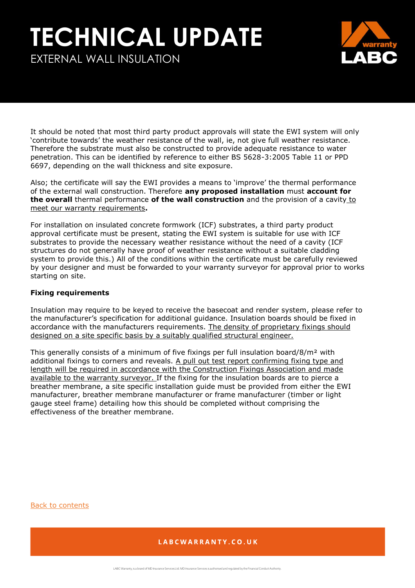EXTERNAL WALL INSULATION



It should be noted that most third party product approvals will state the EWI system will only 'contribute towards' the weather resistance of the wall, ie, not give full weather resistance. Therefore the substrate must also be constructed to provide adequate resistance to water penetration. This can be identified by reference to either BS 5628-3:2005 Table 11 or PPD 6697, depending on the wall thickness and site exposure.

Also; the certificate will say the EWI provides a means to 'improve' the thermal performance of the external wall construction. Therefore **any proposed installation** must **account for the overall** thermal performance **of the wall construction** and the provision of a cavity to meet our warranty requirements**.** 

For installation on insulated concrete formwork (ICF) substrates, a third party product approval certificate must be present, stating the EWI system is suitable for use with ICF substrates to provide the necessary weather resistance without the need of a cavity (ICF structures do not generally have proof of weather resistance without a suitable cladding system to provide this.) All of the conditions within the certificate must be carefully reviewed by your designer and must be forwarded to your warranty surveyor for approval prior to works starting on site.

#### <span id="page-1-0"></span>**Fixing requirements**

Insulation may require to be keyed to receive the basecoat and render system, please refer to the manufacturer's specification for additional guidance. Insulation boards should be fixed in accordance with the manufacturers requirements. The density of proprietary fixings should designed on a site specific basis by a suitably qualified structural engineer.

This generally consists of a minimum of five fixings per full insulation board/8/m<sup>2</sup> with additional fixings to corners and reveals. A pull out test report confirming fixing type and length will be required in accordance with the Construction Fixings Association and made available to the warranty surveyor. If the fixing for the insulation boards are to pierce a breather membrane, a site specific installation guide must be provided from either the EWI manufacturer, breather membrane manufacturer or frame manufacturer (timber or light gauge steel frame) detailing how this should be completed without comprising the effectiveness of the breather membrane.

[Back to contents](#page-0-1)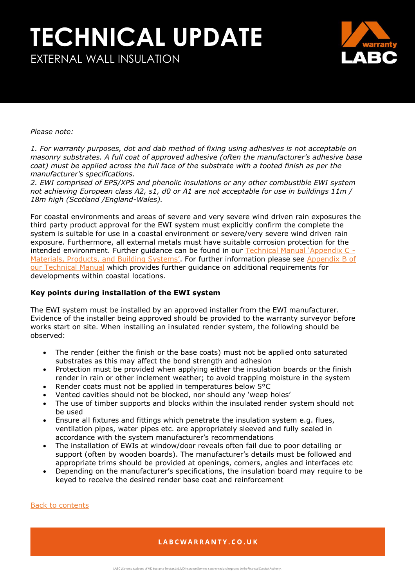EXTERNAL WALL INSULATION



#### *Please note:*

*1. For warranty purposes, dot and dab method of fixing using adhesives is not acceptable on masonry substrates. A full coat of approved adhesive (often the manufacturer's adhesive base coat)* must be applied across the full face of the substrate with a tooted finish as per the *manufacturer's specifications.*

*2. EWI comprised of EPS/XPS and phenolic insulations or any other combustible EWI system not achieving European class A2, s1, d0 or A1 are not acceptable for use in buildings 11m / 18m high (Scotland /England-Wales).*

For coastal environments and areas of severe and very severe wind driven rain exposures the third party product approval for the EWI system must explicitly confirm the complete the system is suitable for use in a coastal environment or severe/very severe wind driven rain exposure. Furthermore, all external metals must have suitable corrosion protection for the intended environment. Further guidance can be found in our [Technical Manual 'Appendix C](https://info.labcwarranty.co.uk/technical-manual-apc) -[Materials, Products, and Building Systems'](https://info.labcwarranty.co.uk/technical-manual-apc). For further information please see Appendix B of [our Technical Manual](https://info.labcwarranty.co.uk/technical-manual-apb) which provides further guidance on additional requirements for developments within coastal locations.

#### <span id="page-2-0"></span>**Key points during installation of the EWI system**

The EWI system must be installed by an approved installer from the EWI manufacturer. Evidence of the installer being approved should be provided to the warranty surveyor before works start on site. When installing an insulated render system, the following should be observed:

- The render (either the finish or the base coats) must not be applied onto saturated substrates as this may affect the bond strength and adhesion
- Protection must be provided when applying either the insulation boards or the finish render in rain or other inclement weather; to avoid trapping moisture in the system
- Render coats must not be applied in temperatures below 5°C
- Vented cavities should not be blocked, nor should any 'weep holes'
- The use of timber supports and blocks within the insulated render system should not be used
- Ensure all fixtures and fittings which penetrate the insulation system e.g. flues, ventilation pipes, water pipes etc. are appropriately sleeved and fully sealed in accordance with the system manufacturer's recommendations
- The installation of EWIs at window/door reveals often fail due to poor detailing or support (often by wooden boards). The manufacturer's details must be followed and appropriate trims should be provided at openings, corners, angles and interfaces etc
- Depending on the manufacturer's specifications, the insulation board may require to be keyed to receive the desired render base coat and reinforcement

#### <span id="page-2-1"></span>[Back to contents](#page-0-1)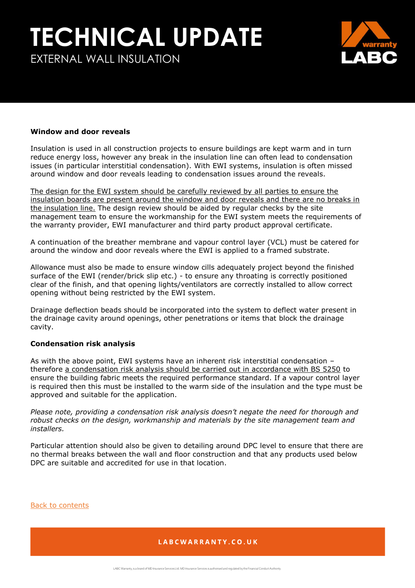EXTERNAL WALL INSULATION



#### **Window and door reveals**

Insulation is used in all construction projects to ensure buildings are kept warm and in turn reduce energy loss, however any break in the insulation line can often lead to condensation issues (in particular interstitial condensation). With EWI systems, insulation is often missed around window and door reveals leading to condensation issues around the reveals.

The design for the EWI system should be carefully reviewed by all parties to ensure the insulation boards are present around the window and door reveals and there are no breaks in the insulation line. The design review should be aided by regular checks by the site management team to ensure the workmanship for the EWI system meets the requirements of the warranty provider, EWI manufacturer and third party product approval certificate.

A continuation of the breather membrane and vapour control layer (VCL) must be catered for around the window and door reveals where the EWI is applied to a framed substrate.

Allowance must also be made to ensure window cills adequately project beyond the finished surface of the EWI (render/brick slip etc.) - to ensure any throating is correctly positioned clear of the finish, and that opening lights/ventilators are correctly installed to allow correct opening without being restricted by the EWI system.

Drainage deflection beads should be incorporated into the system to deflect water present in the drainage cavity around openings, other penetrations or items that block the drainage cavity.

#### <span id="page-3-0"></span>**Condensation risk analysis**

As with the above point, EWI systems have an inherent risk interstitial condensation – therefore a condensation risk analysis should be carried out in accordance with BS 5250 to ensure the building fabric meets the required performance standard. If a vapour control layer is required then this must be installed to the warm side of the insulation and the type must be approved and suitable for the application.

*Please note, providing a condensation risk analysis doesn't negate the need for thorough and robust checks on the design, workmanship and materials by the site management team and installers.* 

Particular attention should also be given to detailing around DPC level to ensure that there are no thermal breaks between the wall and floor construction and that any products used below DPC are suitable and accredited for use in that location.

[Back to contents](#page-0-1)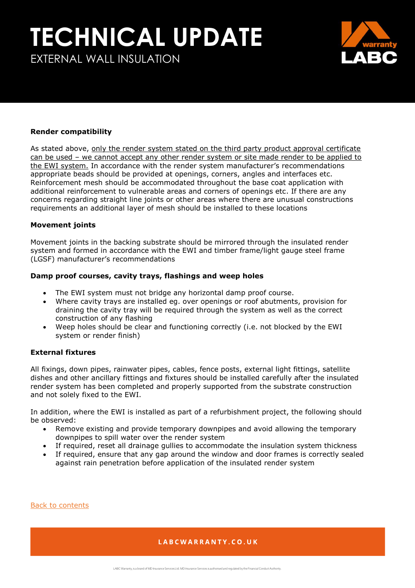### EXTERNAL WALL INSULATION

#### <span id="page-4-0"></span>**Render compatibility**

As stated above, only the render system stated on the third party product approval certificate can be used - we cannot accept any other render system or site made render to be applied to the EWI system. In accordance with the render system manufacturer's recommendations appropriate beads should be provided at openings, corners, angles and interfaces etc. Reinforcement mesh should be accommodated throughout the base coat application with additional reinforcement to vulnerable areas and corners of openings etc. If there are any concerns regarding straight line joints or other areas where there are unusual constructions requirements an additional layer of mesh should be installed to these locations

#### <span id="page-4-1"></span>**Movement joints**

Movement joints in the backing substrate should be mirrored through the insulated render system and formed in accordance with the EWI and timber frame/light gauge steel frame (LGSF) manufacturer's recommendations

#### <span id="page-4-2"></span>**Damp proof courses, cavity trays, flashings and weep holes**

- The EWI system must not bridge any horizontal damp proof course.
- Where cavity trays are installed eg. over openings or roof abutments, provision for draining the cavity tray will be required through the system as well as the correct construction of any flashing
- Weep holes should be clear and functioning correctly (i.e. not blocked by the EWI system or render finish)

#### <span id="page-4-3"></span>**External fixtures**

All fixings, down pipes, rainwater pipes, cables, fence posts, external light fittings, satellite dishes and other ancillary fittings and fixtures should be installed carefully after the insulated render system has been completed and properly supported from the substrate construction and not solely fixed to the EWI.

In addition, where the EWI is installed as part of a refurbishment project, the following should be observed:

- Remove existing and provide temporary downpipes and avoid allowing the temporary downpipes to spill water over the render system
- If required, reset all drainage gullies to accommodate the insulation system thickness
- If required, ensure that any gap around the window and door frames is correctly sealed against rain penetration before application of the insulated render system

[Back to contents](#page-0-1)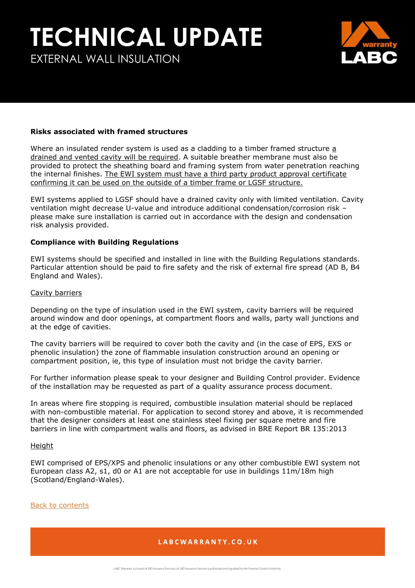EXTERNAL WALL INSULATION



#### <span id="page-5-0"></span>**Risks associated with framed structures**

Where an insulated render system is used as a cladding to a timber framed structure a drained and vented cavity will be required. A suitable breather membrane must also be provided to protect the sheathing board and framing system from water penetration reaching the internal finishes. The EWI system must have a third party product approval certificate confirming it can be used on the outside of a timber frame or LGSF structure.

EWI systems applied to LGSF should have a drained cavity only with limited ventilation. Cavity ventilation might decrease U-value and introduce additional condensation/corrosion risk – please make sure installation is carried out in accordance with the design and condensation risk analysis provided.

#### <span id="page-5-1"></span>**Compliance with Building Regulations**

EWI systems should be specified and installed in line with the Building Regulations standards. Particular attention should be paid to fire safety and the risk of external fire spread (AD B, B4 England and Wales).

#### Cavity barriers

Depending on the type of insulation used in the EWI system, cavity barriers will be required around window and door openings, at compartment floors and walls, party wall junctions and at the edge of cavities.

The cavity barriers will be required to cover both the cavity and (in the case of EPS, EXS or phenolic insulation) the zone of flammable insulation construction around an opening or compartment position, ie, this type of insulation must not bridge the cavity barrier.

For further information please speak to your designer and Building Control provider. Evidence of the installation may be requested as part of a quality assurance process document.

In areas where fire stopping is required, combustible insulation material should be replaced with non-combustible material. For application to second storey and above, it is recommended that the designer considers at least one stainless steel fixing per square metre and fire barriers in line with compartment walls and floors, as advised in BRE Report BR 135:2013

#### Height

EWI comprised of EPS/XPS and phenolic insulations or any other combustible EWI system not European class A2, s1, d0 or A1 are not acceptable for use in buildings 11m/18m high (Scotland/England-Wales).

#### [Back to contents](#page-0-1)